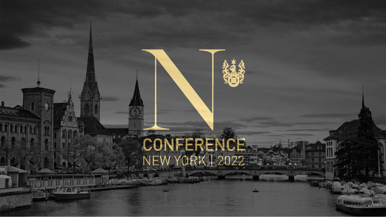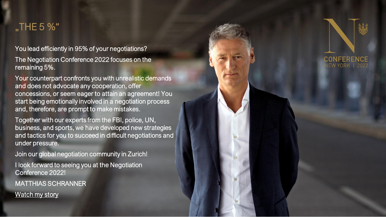#### "THE 5 %"

You lead efficiently in 95% of your negotiations?

The Negotiation Conference 2022 focuses on the remaining 5%.

Your counterpart confronts you with unrealistic demands and does not advocate any cooperation, offer concessions, or seem eager to attain an agreement! You start being emotionally involved in a negotiation process and, therefore, are prompt to make mistakes.

Together with our experts from the FBI, police, UN, business, and sports, we have developed new strategies and tactics for you to succeed in difficult negotiations and under pressure.

Join our global negotiation community in Zurich!

I look forward to seeing you at the Negotiation Conference 2022!

MATTHIAS SCHRANNER

[Watch my story](https://www.youtube.com/watch?v=GxitUmI-ctw)

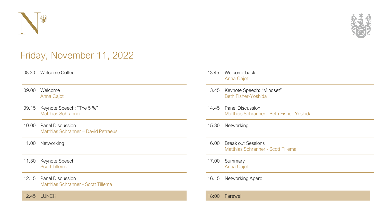



### Friday, November 11, 2022

| 08.30<br>Welcome Coffee |  |
|-------------------------|--|
|-------------------------|--|

- 09.00 Welcome Anna Cajot
- 09.15 Keynote Speech: "The 5 %" Matthias Schranner
- 10.00 Panel Discussion Matthias Schranner – David Petraeus
- 11.00 Networking
- 11.30 Keynote Speech Scott Tillema
- 12.15 Panel Discussion Matthias Schranner - Scott Tillema

12.45 LUNCH

- 13.45 Welcome back Anna Cajot
- 13.45 Keynote Speech: "Mindset" Beth Fisher-Yoshida
- 14.45 Panel Discussion Matthias Schranner - Beth Fisher-Yoshida
- 15.30 Networking
- 16.00 Break out Sessions Matthias Schranner - Scott Tillema
- 17.00 Summary Anna Cajot
- 16.15 Networking Apero

18:00 Farewell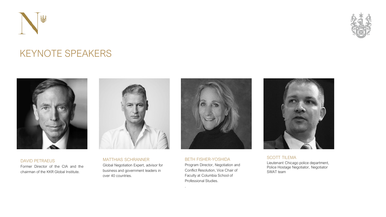



### KEYNOTE SPEAKERS



DAVID PETRAEUS Former Director of the CIA and the chairman of the KKR Global Institute.



MATTHIAS SCHRANNER Global Negotiation Expert, advisor for business and government leaders in over 40 countries.



BETH FISHER-YOSHIDA Program Director, Negotiation and Conflict Resolution, Vice Chair of Faculty at Columbia School of Professional Studies.

.



SCOTT TILEMA Lieutenant Chicago police department, Police Hostage Negotiator, Negotiator SWAT team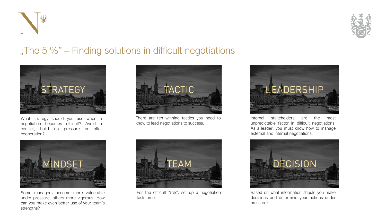



## "The 5  $\%$ " – Finding solutions in difficult negotiations



What strategy should you use when a negotiation becomes difficult? Avoid a conflict, build up pressure or offer cooperation?



There are ten winning tactics you need to know to lead negotiations to success.



Internal stakeholders are the most unpredictable factor in difficult negotiations. As a leader, you must know how to manage external and internal negotiations.



Based on what information should you make decisions and determine your actions under pressure?



Some managers become more vulnerable under pressure, others more vigorous. How can you make even better use of your team's strengths?



For the difficult "5%", set up a negotiation task force.